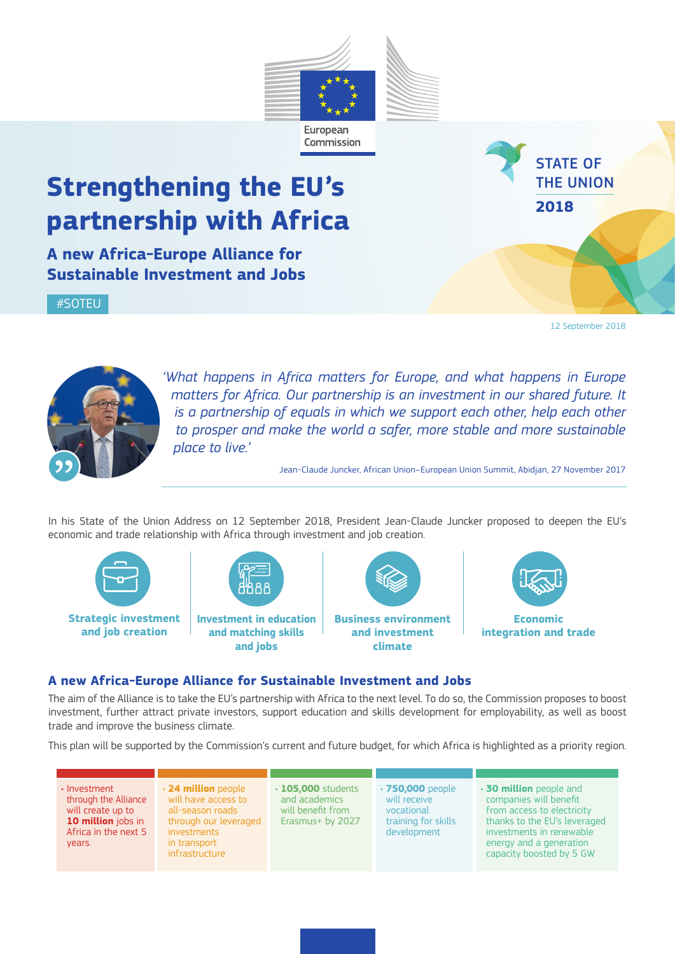# **Strengthening the EU's partnership with Africa**

**A new Africa-Europe Alliance for Sustainable Investment and Jobs**

#SOTEU

STATE OF THE UNION **2018**

12 September 2018



*'What happens in Africa matters for Europe, and what happens in Europe matters for Africa. Our partnership is an investment in our shared future. It is a partnership of equals in which we support each other, help each other to prosper and make the world a safer, more stable and more sustainable place to live.'* 

Jean-Claude Juncker, African Union–European Union Summit, Abidjan, 27 November 2017

In his State of the Union Address on 12 September 2018, President Jean-Claude Juncker proposed to deepen the EU's economic and trade relationship with Africa through investment and job creation.

European Commission



**Strategic investment and job creation**



**Investment in education and matching skills and jobs**



**climate**



## **A new Africa-Europe Alliance for Sustainable Investment and Jobs**

The aim of the Alliance is to take the EU's partnership with Africa to the next level. To do so, the Commission proposes to boost investment, further attract private investors, support education and skills development for employability, as well as boost trade and improve the business climate.

This plan will be supported by the Commission's current and future budget, for which Africa is highlighted as a priority region.

| $\cdot$ Investment<br>through the Alliance<br>will create up to<br>10 million jobs in<br>Africa in the next 5<br>years. | $\cdot$ 24 million people<br>will have access to<br>all-season roads<br>through our leveraged<br><i>investments</i><br>in transport<br>infrastructure | $\cdot$ 105,000 students<br>and academics<br>will benefit from<br>Erasmus+ by 2027 | $\cdot$ 750,000 people<br>will receive<br>vocational<br>training for skills<br>development | $\cdot$ 30 million people and<br>companies will benefit<br>from access to electricity<br>thanks to the EU's leveraged<br>investments in renewable<br>energy and a generation<br>capacity boosted by 5 GW |
|-------------------------------------------------------------------------------------------------------------------------|-------------------------------------------------------------------------------------------------------------------------------------------------------|------------------------------------------------------------------------------------|--------------------------------------------------------------------------------------------|----------------------------------------------------------------------------------------------------------------------------------------------------------------------------------------------------------|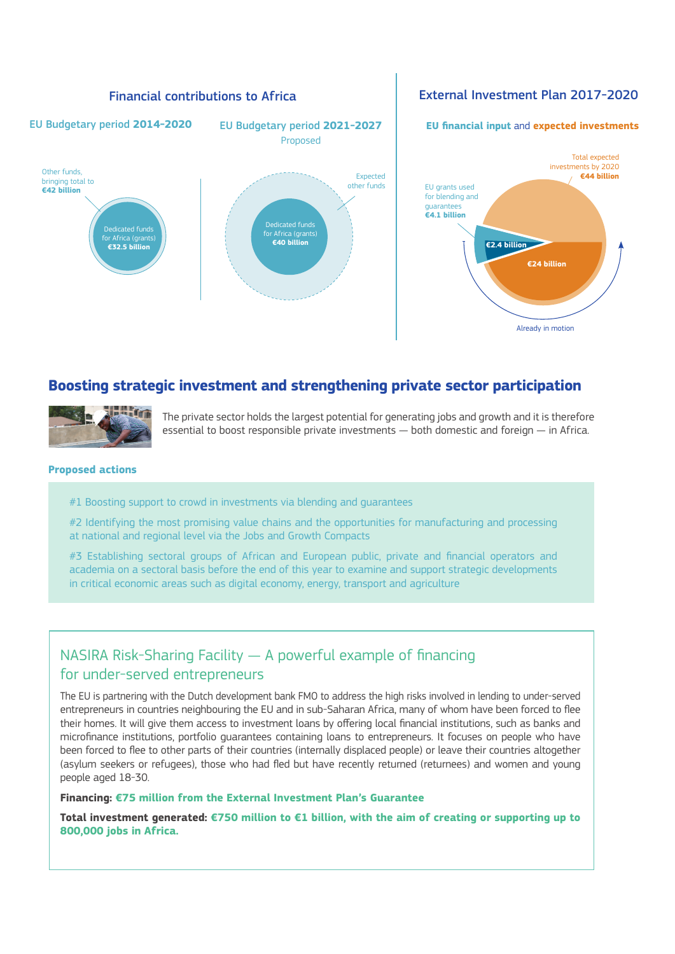

# **Boosting strategic investment and strengthening private sector participation**



The private sector holds the largest potential for generating jobs and growth and it is therefore essential to boost responsible private investments — both domestic and foreign — in Africa.

#### **Proposed actions**

#1 Boosting support to crowd in investments via blending and quarantees

#2 Identifying the most promising value chains and the opportunities for manufacturing and processing at national and regional level via the Jobs and Growth Compacts

#3 Establishing sectoral groups of African and European public, private and financial operators and academia on a sectoral basis before the end of this year to examine and support strategic developments in critical economic areas such as digital economy, energy, transport and agriculture

# NASIRA Risk-Sharing Facility — A powerful example of financing for under-served entrepreneurs

The EU is partnering with the Dutch development bank FMO to address the high risks involved in lending to under-served entrepreneurs in countries neighbouring the EU and in sub-Saharan Africa, many of whom have been forced to flee their homes. It will give them access to investment loans by offering local financial institutions, such as banks and microfinance institutions, portfolio guarantees containing loans to entrepreneurs. It focuses on people who have been forced to flee to other parts of their countries (internally displaced people) or leave their countries altogether (asylum seekers or refugees), those who had fled but have recently returned (returnees) and women and young people aged 18-30.

#### **Financing: €75 million from the External Investment Plan's Guarantee**

**Total investment generated: €750 million to €1 billion, with the aim of creating or supporting up to 800,000 jobs in Africa.**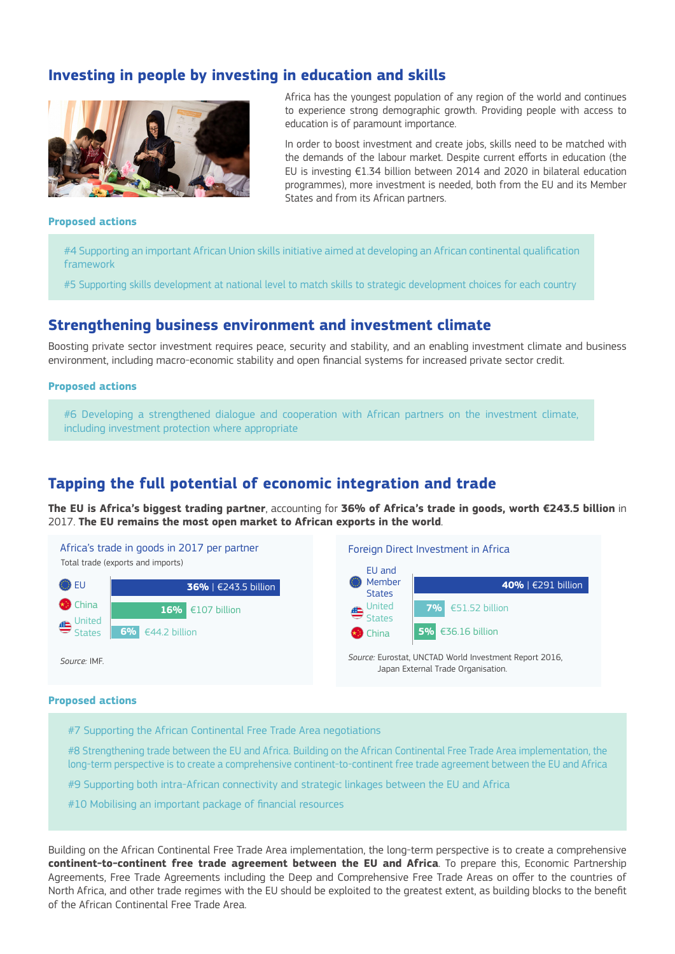# **Investing in people by investing in education and skills**



Africa has the youngest population of any region of the world and continues to experience strong demographic growth. Providing people with access to education is of paramount importance.

In order to boost investment and create jobs, skills need to be matched with the demands of the labour market. Despite current efforts in education (the EU is investing €1.34 billion between 2014 and 2020 in bilateral education programmes), more investment is needed, both from the EU and its Member States and from its African partners.

#### **Proposed actions**

#4 Supporting an important African Union skills initiative aimed at developing an African continental qualification framework

#5 Supporting skills development at national level to match skills to strategic development choices for each country

### **Strengthening business environment and investment climate**

Boosting private sector investment requires peace, security and stability, and an enabling investment climate and business environment, including macro-economic stability and open financial systems for increased private sector credit.

#### **Proposed actions**

#6 Developing a strengthened dialogue and cooperation with African partners on the investment climate, including investment protection where appropriate

# **Tapping the full potential of economic integration and trade**

**The EU is Africa's biggest trading partner**, accounting for **36% of Africa's trade in goods, worth €243.5 billion** in 2017. **The EU remains the most open market to African exports in the world**.

Africa's trade in goods in 2017 per partner Total trade (exports and imports)



Foreign Direct Investment in Africa



*Source:* Eurostat, UNCTAD World Investment Report 2016, Japan External Trade Organisation.

#### **Proposed actions**

*Source:* IMF.

#7 Supporting the African Continental Free Trade Area negotiations

#8 Strengthening trade between the EU and Africa. Building on the African Continental Free Trade Area implementation, the long-term perspective is to create a comprehensive continent-to-continent free trade agreement between the EU and Africa

#9 Supporting both intra-African connectivity and strategic linkages between the EU and Africa

#10 Mobilising an important package of financial resources

Building on the African Continental Free Trade Area implementation, the long-term perspective is to create a comprehensive **continent-to-continent free trade agreement between the EU and Africa**. To prepare this, Economic Partnership Agreements, Free Trade Agreements including the Deep and Comprehensive Free Trade Areas on offer to the countries of North Africa, and other trade regimes with the EU should be exploited to the greatest extent, as building blocks to the benefit of the African Continental Free Trade Area.